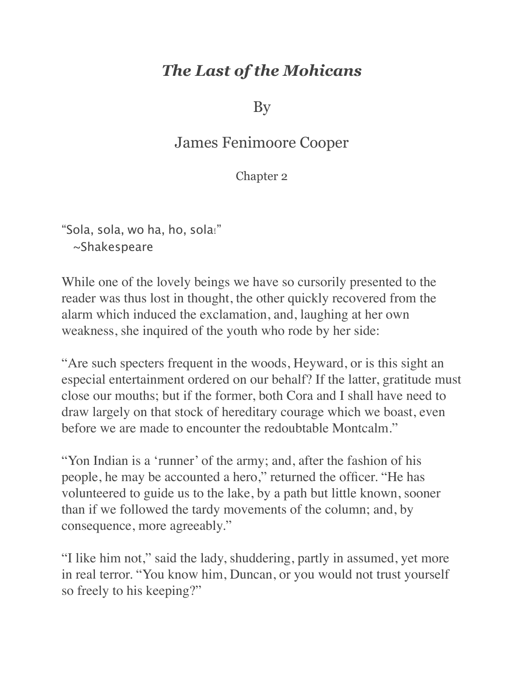## *The Last of the Mohicans*

By

## James Fenimoore Cooper

Chapter 2

"Sola, sola, wo ha, ho, sola!" ~Shakespeare

While one of the lovely beings we have so cursorily presented to the reader was thus lost in thought, the other quickly recovered from the alarm which induced the exclamation, and, laughing at her own weakness, she inquired of the youth who rode by her side:

"Are such specters frequent in the woods, Heyward, or is this sight an especial entertainment ordered on our behalf? If the latter, gratitude must close our mouths; but if the former, both Cora and I shall have need to draw largely on that stock of hereditary courage which we boast, even before we are made to encounter the redoubtable Montcalm."

"Yon Indian is a 'runner' of the army; and, after the fashion of his people, he may be accounted a hero," returned the officer. "He has volunteered to guide us to the lake, by a path but little known, sooner than if we followed the tardy movements of the column; and, by consequence, more agreeably."

"I like him not," said the lady, shuddering, partly in assumed, yet more in real terror. "You know him, Duncan, or you would not trust yourself so freely to his keeping?"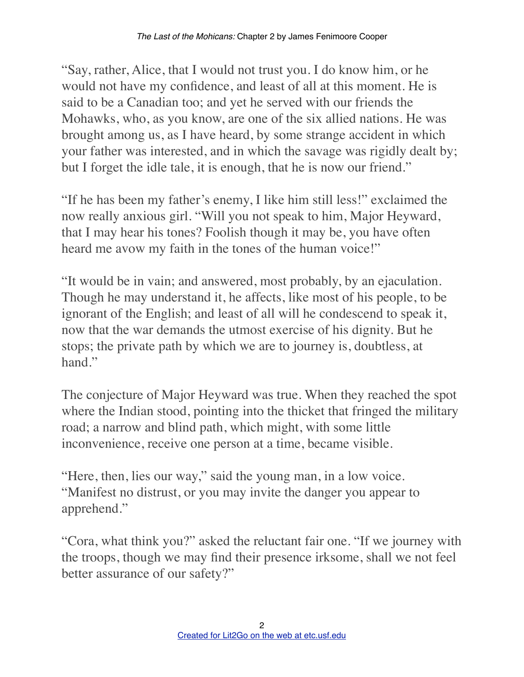"Say, rather, Alice, that I would not trust you. I do know him, or he would not have my confidence, and least of all at this moment. He is said to be a Canadian too; and yet he served with our friends the Mohawks, who, as you know, are one of the six allied nations. He was brought among us, as I have heard, by some strange accident in which your father was interested, and in which the savage was rigidly dealt by; but I forget the idle tale, it is enough, that he is now our friend."

"If he has been my father's enemy, I like him still less!" exclaimed the now really anxious girl. "Will you not speak to him, Major Heyward, that I may hear his tones? Foolish though it may be, you have often heard me avow my faith in the tones of the human voice!"

"It would be in vain; and answered, most probably, by an ejaculation. Though he may understand it, he affects, like most of his people, to be ignorant of the English; and least of all will he condescend to speak it, now that the war demands the utmost exercise of his dignity. But he stops; the private path by which we are to journey is, doubtless, at hand."

The conjecture of Major Heyward was true. When they reached the spot where the Indian stood, pointing into the thicket that fringed the military road; a narrow and blind path, which might, with some little inconvenience, receive one person at a time, became visible.

"Here, then, lies our way," said the young man, in a low voice. "Manifest no distrust, or you may invite the danger you appear to apprehend."

"Cora, what think you?" asked the reluctant fair one. "If we journey with the troops, though we may find their presence irksome, shall we not feel better assurance of our safety?"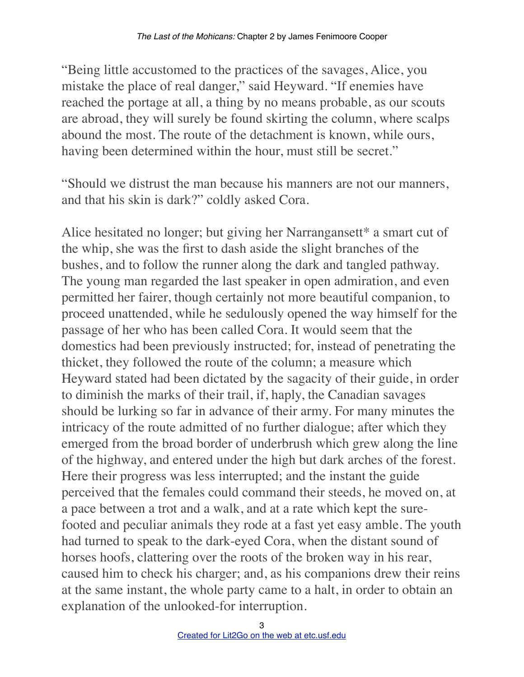"Being little accustomed to the practices of the savages, Alice, you mistake the place of real danger," said Heyward. "If enemies have reached the portage at all, a thing by no means probable, as our scouts are abroad, they will surely be found skirting the column, where scalps abound the most. The route of the detachment is known, while ours, having been determined within the hour, must still be secret."

"Should we distrust the man because his manners are not our manners, and that his skin is dark?" coldly asked Cora.

Alice hesitated no longer; but giving her Narrangansett\* a smart cut of the whip, she was the first to dash aside the slight branches of the bushes, and to follow the runner along the dark and tangled pathway. The young man regarded the last speaker in open admiration, and even permitted her fairer, though certainly not more beautiful companion, to proceed unattended, while he sedulously opened the way himself for the passage of her who has been called Cora. It would seem that the domestics had been previously instructed; for, instead of penetrating the thicket, they followed the route of the column; a measure which Heyward stated had been dictated by the sagacity of their guide, in order to diminish the marks of their trail, if, haply, the Canadian savages should be lurking so far in advance of their army. For many minutes the intricacy of the route admitted of no further dialogue; after which they emerged from the broad border of underbrush which grew along the line of the highway, and entered under the high but dark arches of the forest. Here their progress was less interrupted; and the instant the guide perceived that the females could command their steeds, he moved on, at a pace between a trot and a walk, and at a rate which kept the surefooted and peculiar animals they rode at a fast yet easy amble. The youth had turned to speak to the dark-eyed Cora, when the distant sound of horses hoofs, clattering over the roots of the broken way in his rear, caused him to check his charger; and, as his companions drew their reins at the same instant, the whole party came to a halt, in order to obtain an explanation of the unlooked-for interruption.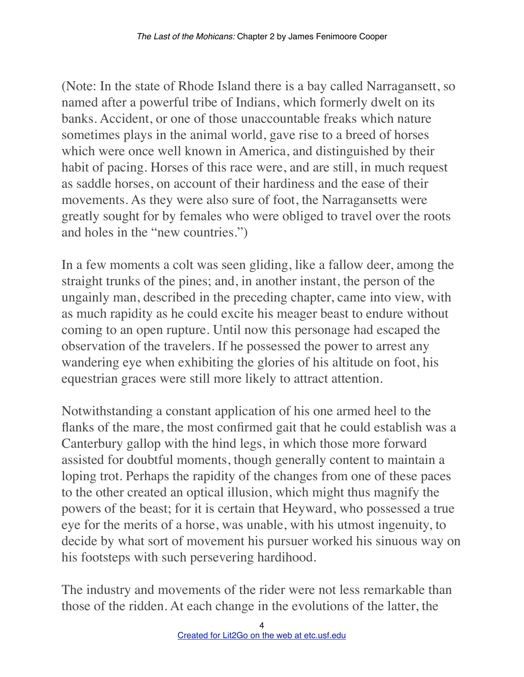(Note: In the state of Rhode Island there is a bay called Narragansett, so named after a powerful tribe of Indians, which formerly dwelt on its banks. Accident, or one of those unaccountable freaks which nature sometimes plays in the animal world, gave rise to a breed of horses which were once well known in America, and distinguished by their habit of pacing. Horses of this race were, and are still, in much request as saddle horses, on account of their hardiness and the ease of their movements. As they were also sure of foot, the Narragansetts were greatly sought for by females who were obliged to travel over the roots and holes in the "new countries.")

In a few moments a colt was seen gliding, like a fallow deer, among the straight trunks of the pines; and, in another instant, the person of the ungainly man, described in the preceding chapter, came into view, with as much rapidity as he could excite his meager beast to endure without coming to an open rupture. Until now this personage had escaped the observation of the travelers. If he possessed the power to arrest any wandering eye when exhibiting the glories of his altitude on foot, his equestrian graces were still more likely to attract attention.

Notwithstanding a constant application of his one armed heel to the flanks of the mare, the most confirmed gait that he could establish was a Canterbury gallop with the hind legs, in which those more forward assisted for doubtful moments, though generally content to maintain a loping trot. Perhaps the rapidity of the changes from one of these paces to the other created an optical illusion, which might thus magnify the powers of the beast; for it is certain that Heyward, who possessed a true eye for the merits of a horse, was unable, with his utmost ingenuity, to decide by what sort of movement his pursuer worked his sinuous way on his footsteps with such persevering hardihood.

The industry and movements of the rider were not less remarkable than those of the ridden. At each change in the evolutions of the latter, the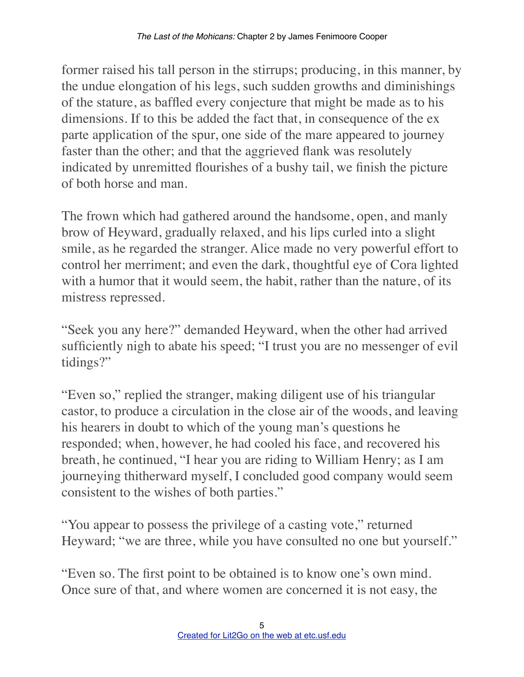former raised his tall person in the stirrups; producing, in this manner, by the undue elongation of his legs, such sudden growths and diminishings of the stature, as baffled every conjecture that might be made as to his dimensions. If to this be added the fact that, in consequence of the ex parte application of the spur, one side of the mare appeared to journey faster than the other; and that the aggrieved flank was resolutely indicated by unremitted flourishes of a bushy tail, we finish the picture of both horse and man.

The frown which had gathered around the handsome, open, and manly brow of Heyward, gradually relaxed, and his lips curled into a slight smile, as he regarded the stranger. Alice made no very powerful effort to control her merriment; and even the dark, thoughtful eye of Cora lighted with a humor that it would seem, the habit, rather than the nature, of its mistress repressed.

"Seek you any here?" demanded Heyward, when the other had arrived sufficiently nigh to abate his speed; "I trust you are no messenger of evil tidings?"

"Even so," replied the stranger, making diligent use of his triangular castor, to produce a circulation in the close air of the woods, and leaving his hearers in doubt to which of the young man's questions he responded; when, however, he had cooled his face, and recovered his breath, he continued, "I hear you are riding to William Henry; as I am journeying thitherward myself, I concluded good company would seem consistent to the wishes of both parties."

"You appear to possess the privilege of a casting vote," returned Heyward; "we are three, while you have consulted no one but yourself."

"Even so. The first point to be obtained is to know one's own mind. Once sure of that, and where women are concerned it is not easy, the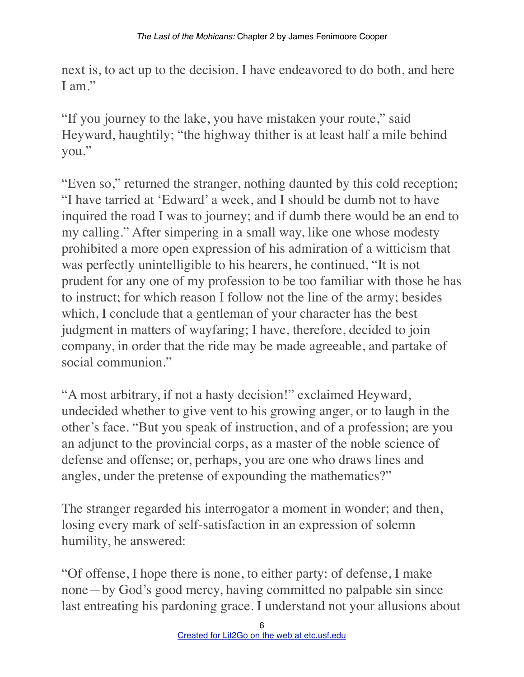next is, to act up to the decision. I have endeavored to do both, and here I am"

"If you journey to the lake, you have mistaken your route," said Heyward, haughtily; "the highway thither is at least half a mile behind you."

"Even so," returned the stranger, nothing daunted by this cold reception; "I have tarried at 'Edward' a week, and I should be dumb not to have inquired the road I was to journey; and if dumb there would be an end to my calling." After simpering in a small way, like one whose modesty prohibited a more open expression of his admiration of a witticism that was perfectly unintelligible to his hearers, he continued, "It is not prudent for any one of my profession to be too familiar with those he has to instruct; for which reason I follow not the line of the army; besides which, I conclude that a gentleman of your character has the best judgment in matters of wayfaring; I have, therefore, decided to join company, in order that the ride may be made agreeable, and partake of social communion."

"A most arbitrary, if not a hasty decision!" exclaimed Heyward, undecided whether to give vent to his growing anger, or to laugh in the other's face. "But you speak of instruction, and of a profession; are you an adjunct to the provincial corps, as a master of the noble science of defense and offense; or, perhaps, you are one who draws lines and angles, under the pretense of expounding the mathematics?"

The stranger regarded his interrogator a moment in wonder; and then, losing every mark of self-satisfaction in an expression of solemn humility, he answered:

"Of offense, I hope there is none, to either party: of defense, I make none—by God's good mercy, having committed no palpable sin since last entreating his pardoning grace. I understand not your allusions about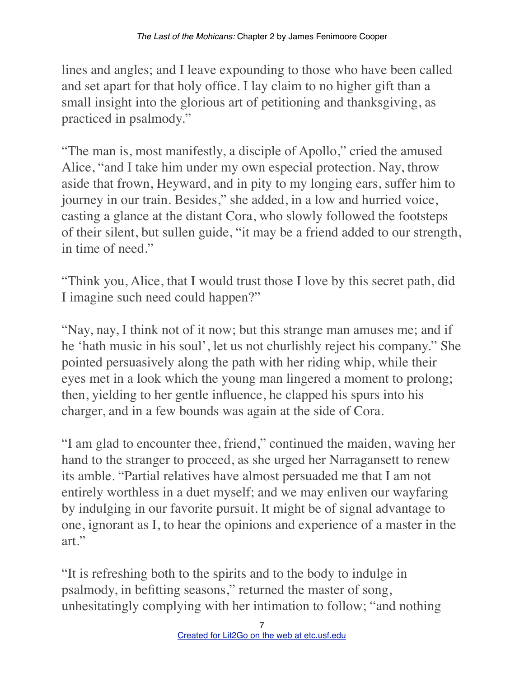lines and angles; and I leave expounding to those who have been called and set apart for that holy office. I lay claim to no higher gift than a small insight into the glorious art of petitioning and thanksgiving, as practiced in psalmody."

"The man is, most manifestly, a disciple of Apollo," cried the amused Alice, "and I take him under my own especial protection. Nay, throw aside that frown, Heyward, and in pity to my longing ears, suffer him to journey in our train. Besides," she added, in a low and hurried voice, casting a glance at the distant Cora, who slowly followed the footsteps of their silent, but sullen guide, "it may be a friend added to our strength, in time of need."

"Think you, Alice, that I would trust those I love by this secret path, did I imagine such need could happen?"

"Nay, nay, I think not of it now; but this strange man amuses me; and if he 'hath music in his soul', let us not churlishly reject his company." She pointed persuasively along the path with her riding whip, while their eyes met in a look which the young man lingered a moment to prolong; then, yielding to her gentle influence, he clapped his spurs into his charger, and in a few bounds was again at the side of Cora.

"I am glad to encounter thee, friend," continued the maiden, waving her hand to the stranger to proceed, as she urged her Narragansett to renew its amble. "Partial relatives have almost persuaded me that I am not entirely worthless in a duet myself; and we may enliven our wayfaring by indulging in our favorite pursuit. It might be of signal advantage to one, ignorant as I, to hear the opinions and experience of a master in the art."

"It is refreshing both to the spirits and to the body to indulge in psalmody, in befitting seasons," returned the master of song, unhesitatingly complying with her intimation to follow; "and nothing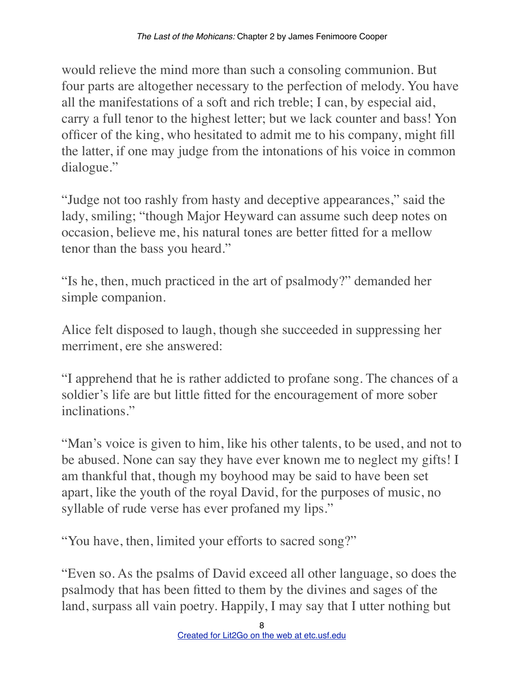would relieve the mind more than such a consoling communion. But four parts are altogether necessary to the perfection of melody. You have all the manifestations of a soft and rich treble; I can, by especial aid, carry a full tenor to the highest letter; but we lack counter and bass! Yon officer of the king, who hesitated to admit me to his company, might fill the latter, if one may judge from the intonations of his voice in common dialogue."

"Judge not too rashly from hasty and deceptive appearances," said the lady, smiling; "though Major Heyward can assume such deep notes on occasion, believe me, his natural tones are better fitted for a mellow tenor than the bass you heard."

"Is he, then, much practiced in the art of psalmody?" demanded her simple companion.

Alice felt disposed to laugh, though she succeeded in suppressing her merriment, ere she answered:

"I apprehend that he is rather addicted to profane song. The chances of a soldier's life are but little fitted for the encouragement of more sober inclinations."

"Man's voice is given to him, like his other talents, to be used, and not to be abused. None can say they have ever known me to neglect my gifts! I am thankful that, though my boyhood may be said to have been set apart, like the youth of the royal David, for the purposes of music, no syllable of rude verse has ever profaned my lips."

"You have, then, limited your efforts to sacred song?"

"Even so. As the psalms of David exceed all other language, so does the psalmody that has been fitted to them by the divines and sages of the land, surpass all vain poetry. Happily, I may say that I utter nothing but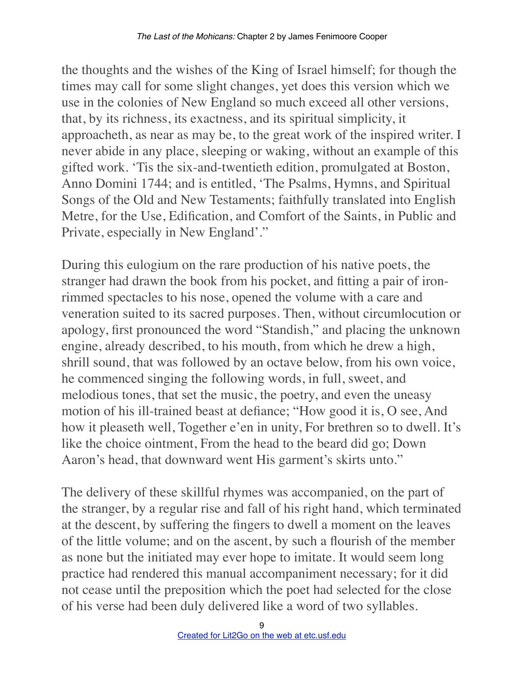the thoughts and the wishes of the King of Israel himself; for though the times may call for some slight changes, yet does this version which we use in the colonies of New England so much exceed all other versions, that, by its richness, its exactness, and its spiritual simplicity, it approacheth, as near as may be, to the great work of the inspired writer. I never abide in any place, sleeping or waking, without an example of this gifted work. 'Tis the six-and-twentieth edition, promulgated at Boston, Anno Domini 1744; and is entitled, 'The Psalms, Hymns, and Spiritual Songs of the Old and New Testaments; faithfully translated into English Metre, for the Use, Edification, and Comfort of the Saints, in Public and Private, especially in New England'."

During this eulogium on the rare production of his native poets, the stranger had drawn the book from his pocket, and fitting a pair of ironrimmed spectacles to his nose, opened the volume with a care and veneration suited to its sacred purposes. Then, without circumlocution or apology, first pronounced the word "Standish," and placing the unknown engine, already described, to his mouth, from which he drew a high, shrill sound, that was followed by an octave below, from his own voice, he commenced singing the following words, in full, sweet, and melodious tones, that set the music, the poetry, and even the uneasy motion of his ill-trained beast at defiance; "How good it is, O see, And how it pleaseth well, Together e'en in unity, For brethren so to dwell. It's like the choice ointment, From the head to the beard did go; Down Aaron's head, that downward went His garment's skirts unto."

The delivery of these skillful rhymes was accompanied, on the part of the stranger, by a regular rise and fall of his right hand, which terminated at the descent, by suffering the fingers to dwell a moment on the leaves of the little volume; and on the ascent, by such a flourish of the member as none but the initiated may ever hope to imitate. It would seem long practice had rendered this manual accompaniment necessary; for it did not cease until the preposition which the poet had selected for the close of his verse had been duly delivered like a word of two syllables.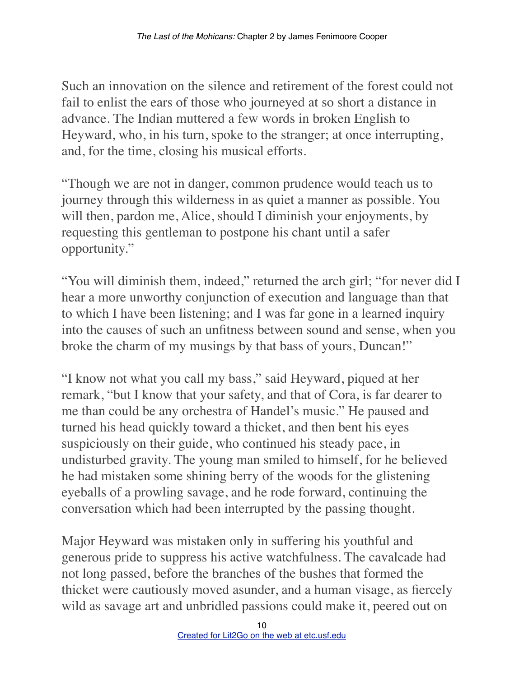Such an innovation on the silence and retirement of the forest could not fail to enlist the ears of those who journeyed at so short a distance in advance. The Indian muttered a few words in broken English to Heyward, who, in his turn, spoke to the stranger; at once interrupting, and, for the time, closing his musical efforts.

"Though we are not in danger, common prudence would teach us to journey through this wilderness in as quiet a manner as possible. You will then, pardon me, Alice, should I diminish your enjoyments, by requesting this gentleman to postpone his chant until a safer opportunity."

"You will diminish them, indeed," returned the arch girl; "for never did I hear a more unworthy conjunction of execution and language than that to which I have been listening; and I was far gone in a learned inquiry into the causes of such an unfitness between sound and sense, when you broke the charm of my musings by that bass of yours, Duncan!"

"I know not what you call my bass," said Heyward, piqued at her remark, "but I know that your safety, and that of Cora, is far dearer to me than could be any orchestra of Handel's music." He paused and turned his head quickly toward a thicket, and then bent his eyes suspiciously on their guide, who continued his steady pace, in undisturbed gravity. The young man smiled to himself, for he believed he had mistaken some shining berry of the woods for the glistening eyeballs of a prowling savage, and he rode forward, continuing the conversation which had been interrupted by the passing thought.

Major Heyward was mistaken only in suffering his youthful and generous pride to suppress his active watchfulness. The cavalcade had not long passed, before the branches of the bushes that formed the thicket were cautiously moved asunder, and a human visage, as fiercely wild as savage art and unbridled passions could make it, peered out on